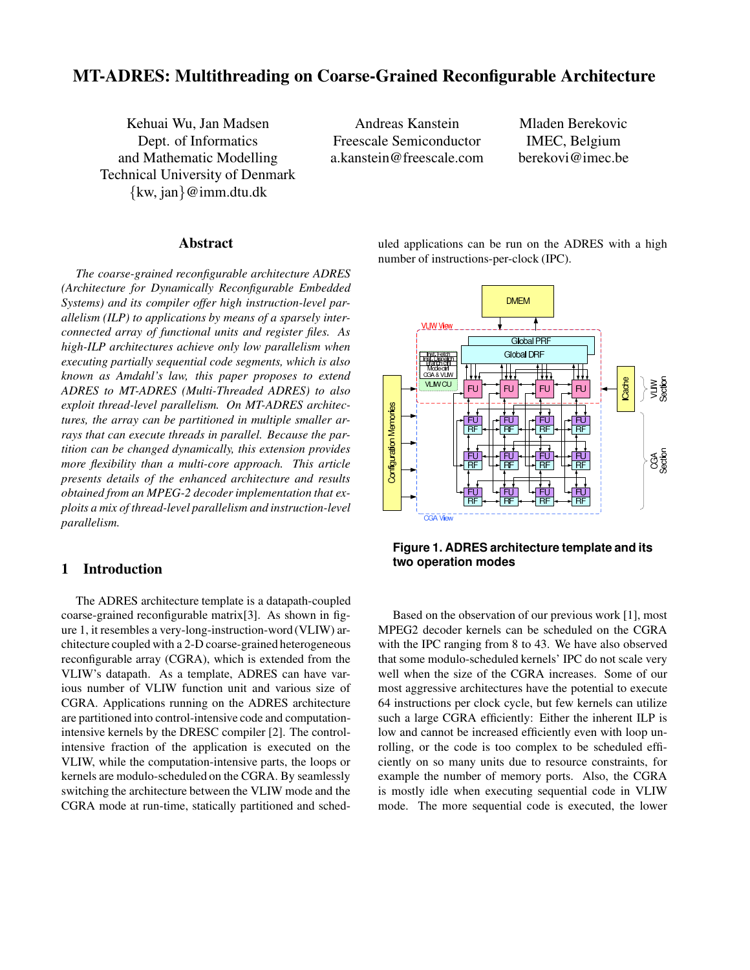# **MT-ADRES: Multithreading on Coarse-Grained Reconfigurable Architecture**

Kehuai Wu, Jan Madsen Dept. of Informatics and Mathematic Modelling Technical University of Denmark {kw, jan}@imm.dtu.dk

Andreas Kanstein Freescale Semiconductor a.kanstein@freescale.com

Mladen Berekovic IMEC, Belgium berekovi@imec.be

# **Abstract**

*The coarse-grained reconfigurable architecture ADRES (Architecture for Dynamically Reconfigurable Embedded Systems) and its compiler offer high instruction-level parallelism (ILP) to applications by means of a sparsely interconnected array of functional units and register files. As high-ILP architectures achieve only low parallelism when executing partially sequential code segments, which is also known as Amdahl's law, this paper proposes to extend ADRES to MT-ADRES (Multi-Threaded ADRES) to also exploit thread-level parallelism. On MT-ADRES architectures, the array can be partitioned in multiple smaller arrays that can execute threads in parallel. Because the partition can be changed dynamically, this extension provides more flexibility than a multi-core approach. This article presents details of the enhanced architecture and results obtained from an MPEG-2 decoder implementation that exploits a mix of thread-level parallelism and instruction-level parallelism.*

### **1 Introduction**

The ADRES architecture template is a datapath-coupled coarse-grained reconfigurable matrix[3]. As shown in figure 1, it resembles a very-long-instruction-word (VLIW) architecture coupled with a 2-D coarse-grained heterogeneous reconfigurable array (CGRA), which is extended from the VLIW's datapath. As a template, ADRES can have various number of VLIW function unit and various size of CGRA. Applications running on the ADRES architecture are partitioned into control-intensive code and computationintensive kernels by the DRESC compiler [2]. The controlintensive fraction of the application is executed on the VLIW, while the computation-intensive parts, the loops or kernels are modulo-scheduled on the CGRA. By seamlessly switching the architecture between the VLIW mode and the CGRA mode at run-time, statically partitioned and scheduled applications can be run on the ADRES with a high number of instructions-per-clock (IPC).



**Figure 1. ADRES architecture template and its two operation modes**

Based on the observation of our previous work [1], most MPEG2 decoder kernels can be scheduled on the CGRA with the IPC ranging from 8 to 43. We have also observed that some modulo-scheduled kernels' IPC do not scale very well when the size of the CGRA increases. Some of our most aggressive architectures have the potential to execute 64 instructions per clock cycle, but few kernels can utilize such a large CGRA efficiently: Either the inherent ILP is low and cannot be increased efficiently even with loop unrolling, or the code is too complex to be scheduled efficiently on so many units due to resource constraints, for example the number of memory ports. Also, the CGRA is mostly idle when executing sequential code in VLIW mode. The more sequential code is executed, the lower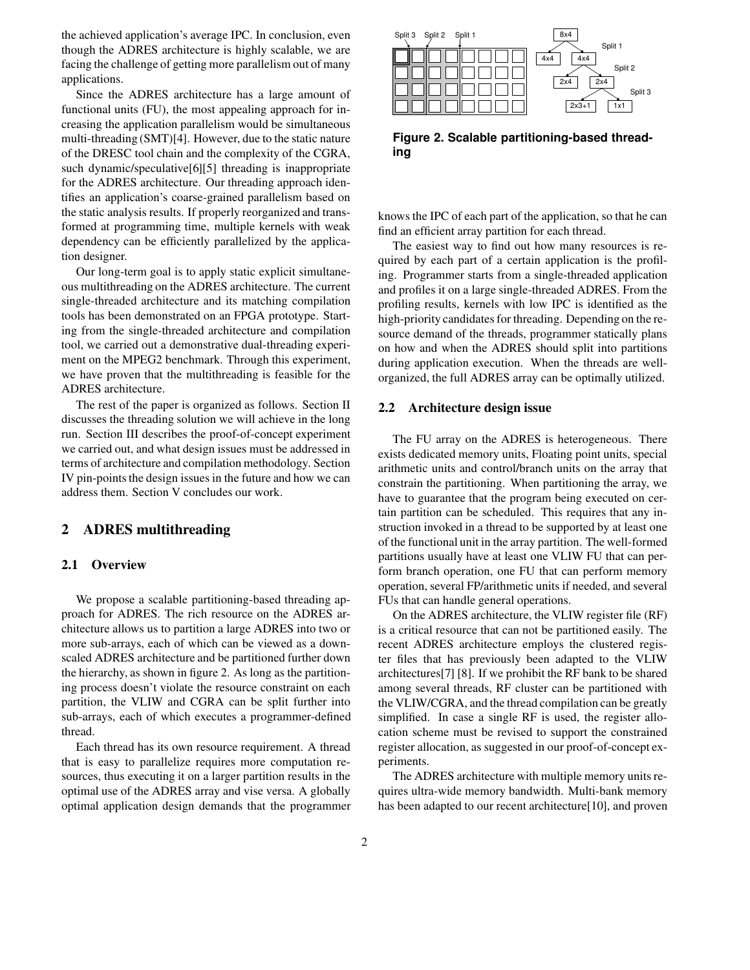the achieved application's average IPC. In conclusion, even though the ADRES architecture is highly scalable, we are facing the challenge of getting more parallelism out of many applications.

Since the ADRES architecture has a large amount of functional units (FU), the most appealing approach for increasing the application parallelism would be simultaneous multi-threading (SMT)[4]. However, due to the static nature of the DRESC tool chain and the complexity of the CGRA, such dynamic/speculative[6][5] threading is inappropriate for the ADRES architecture. Our threading approach identifies an application's coarse-grained parallelism based on the static analysis results. If properly reorganized and transformed at programming time, multiple kernels with weak dependency can be efficiently parallelized by the application designer.

Our long-term goal is to apply static explicit simultaneous multithreading on the ADRES architecture. The current single-threaded architecture and its matching compilation tools has been demonstrated on an FPGA prototype. Starting from the single-threaded architecture and compilation tool, we carried out a demonstrative dual-threading experiment on the MPEG2 benchmark. Through this experiment, we have proven that the multithreading is feasible for the ADRES architecture.

The rest of the paper is organized as follows. Section II discusses the threading solution we will achieve in the long run. Section III describes the proof-of-concept experiment we carried out, and what design issues must be addressed in terms of architecture and compilation methodology. Section IV pin-points the design issues in the future and how we can address them. Section V concludes our work.

### **2 ADRES multithreading**

#### **2.1 Overview**

We propose a scalable partitioning-based threading approach for ADRES. The rich resource on the ADRES architecture allows us to partition a large ADRES into two or more sub-arrays, each of which can be viewed as a downscaled ADRES architecture and be partitioned further down the hierarchy, as shown in figure 2. As long as the partitioning process doesn't violate the resource constraint on each partition, the VLIW and CGRA can be split further into sub-arrays, each of which executes a programmer-defined thread.

Each thread has its own resource requirement. A thread that is easy to parallelize requires more computation resources, thus executing it on a larger partition results in the optimal use of the ADRES array and vise versa. A globally optimal application design demands that the programmer



**Figure 2. Scalable partitioning-based threading**

knows the IPC of each part of the application, so that he can find an efficient array partition for each thread.

The easiest way to find out how many resources is required by each part of a certain application is the profiling. Programmer starts from a single-threaded application and profiles it on a large single-threaded ADRES. From the profiling results, kernels with low IPC is identified as the high-priority candidates for threading. Depending on the resource demand of the threads, programmer statically plans on how and when the ADRES should split into partitions during application execution. When the threads are wellorganized, the full ADRES array can be optimally utilized.

#### **2.2 Architecture design issue**

The FU array on the ADRES is heterogeneous. There exists dedicated memory units, Floating point units, special arithmetic units and control/branch units on the array that constrain the partitioning. When partitioning the array, we have to guarantee that the program being executed on certain partition can be scheduled. This requires that any instruction invoked in a thread to be supported by at least one of the functional unit in the array partition. The well-formed partitions usually have at least one VLIW FU that can perform branch operation, one FU that can perform memory operation, several FP/arithmetic units if needed, and several FUs that can handle general operations.

On the ADRES architecture, the VLIW register file (RF) is a critical resource that can not be partitioned easily. The recent ADRES architecture employs the clustered register files that has previously been adapted to the VLIW architectures[7] [8]. If we prohibit the RF bank to be shared among several threads, RF cluster can be partitioned with the VLIW/CGRA, and the thread compilation can be greatly simplified. In case a single RF is used, the register allocation scheme must be revised to support the constrained register allocation, as suggested in our proof-of-concept experiments.

The ADRES architecture with multiple memory units requires ultra-wide memory bandwidth. Multi-bank memory has been adapted to our recent architecture<sup>[10]</sup>, and proven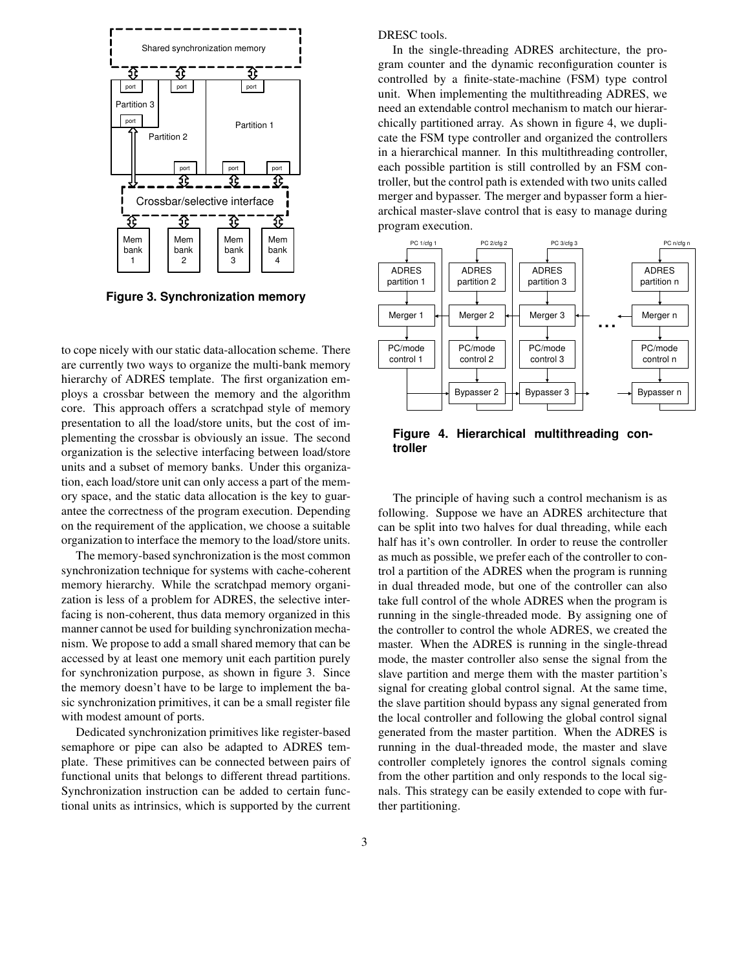

**Figure 3. Synchronization memory**

to cope nicely with our static data-allocation scheme. There are currently two ways to organize the multi-bank memory hierarchy of ADRES template. The first organization employs a crossbar between the memory and the algorithm core. This approach offers a scratchpad style of memory presentation to all the load/store units, but the cost of implementing the crossbar is obviously an issue. The second organization is the selective interfacing between load/store units and a subset of memory banks. Under this organization, each load/store unit can only access a part of the memory space, and the static data allocation is the key to guarantee the correctness of the program execution. Depending on the requirement of the application, we choose a suitable organization to interface the memory to the load/store units.

The memory-based synchronization is the most common synchronization technique for systems with cache-coherent memory hierarchy. While the scratchpad memory organization is less of a problem for ADRES, the selective interfacing is non-coherent, thus data memory organized in this manner cannot be used for building synchronization mechanism. We propose to add a small shared memory that can be accessed by at least one memory unit each partition purely for synchronization purpose, as shown in figure 3. Since the memory doesn't have to be large to implement the basic synchronization primitives, it can be a small register file with modest amount of ports.

Dedicated synchronization primitives like register-based semaphore or pipe can also be adapted to ADRES template. These primitives can be connected between pairs of functional units that belongs to different thread partitions. Synchronization instruction can be added to certain functional units as intrinsics, which is supported by the current DRESC tools.

In the single-threading ADRES architecture, the program counter and the dynamic reconfiguration counter is controlled by a finite-state-machine (FSM) type control unit. When implementing the multithreading ADRES, we need an extendable control mechanism to match our hierarchically partitioned array. As shown in figure 4, we duplicate the FSM type controller and organized the controllers in a hierarchical manner. In this multithreading controller, each possible partition is still controlled by an FSM controller, but the control path is extended with two units called merger and bypasser. The merger and bypasser form a hierarchical master-slave control that is easy to manage during program execution.



**Figure 4. Hierarchical multithreading controller**

The principle of having such a control mechanism is as following. Suppose we have an ADRES architecture that can be split into two halves for dual threading, while each half has it's own controller. In order to reuse the controller as much as possible, we prefer each of the controller to control a partition of the ADRES when the program is running in dual threaded mode, but one of the controller can also take full control of the whole ADRES when the program is running in the single-threaded mode. By assigning one of the controller to control the whole ADRES, we created the master. When the ADRES is running in the single-thread mode, the master controller also sense the signal from the slave partition and merge them with the master partition's signal for creating global control signal. At the same time, the slave partition should bypass any signal generated from the local controller and following the global control signal generated from the master partition. When the ADRES is running in the dual-threaded mode, the master and slave controller completely ignores the control signals coming from the other partition and only responds to the local signals. This strategy can be easily extended to cope with further partitioning.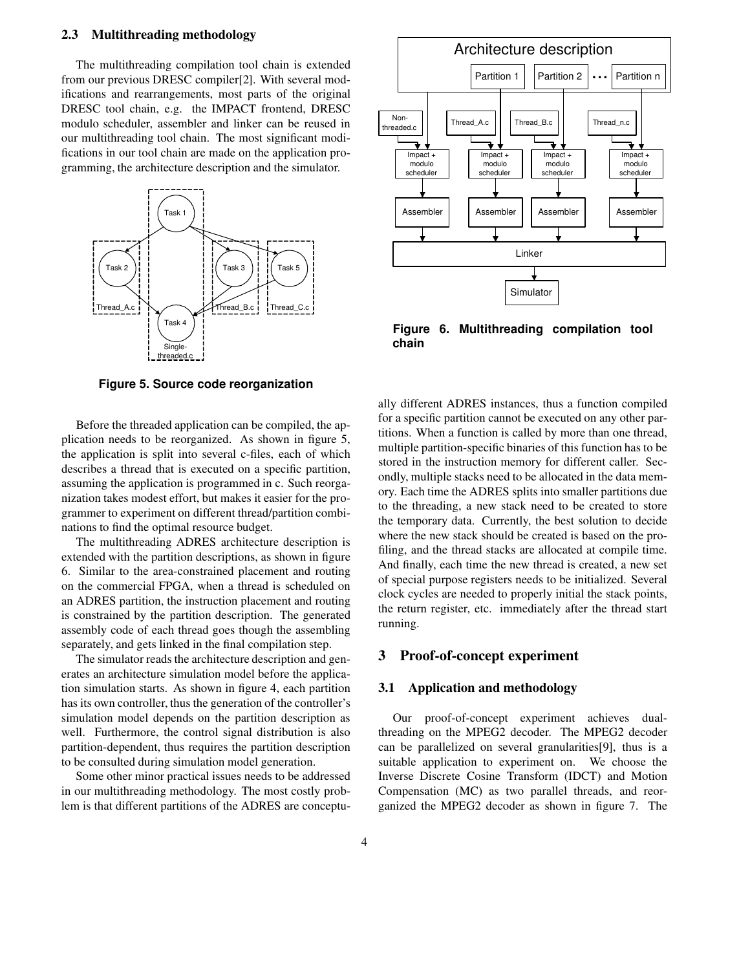#### **2.3 Multithreading methodology**

The multithreading compilation tool chain is extended from our previous DRESC compiler[2]. With several modifications and rearrangements, most parts of the original DRESC tool chain, e.g. the IMPACT frontend, DRESC modulo scheduler, assembler and linker can be reused in our multithreading tool chain. The most significant modifications in our tool chain are made on the application programming, the architecture description and the simulator.



**Figure 5. Source code reorganization**

Before the threaded application can be compiled, the application needs to be reorganized. As shown in figure 5, the application is split into several c-files, each of which describes a thread that is executed on a specific partition, assuming the application is programmed in c. Such reorganization takes modest effort, but makes it easier for the programmer to experiment on different thread/partition combinations to find the optimal resource budget.

The multithreading ADRES architecture description is extended with the partition descriptions, as shown in figure 6. Similar to the area-constrained placement and routing on the commercial FPGA, when a thread is scheduled on an ADRES partition, the instruction placement and routing is constrained by the partition description. The generated assembly code of each thread goes though the assembling separately, and gets linked in the final compilation step.

The simulator reads the architecture description and generates an architecture simulation model before the application simulation starts. As shown in figure 4, each partition has its own controller, thus the generation of the controller's simulation model depends on the partition description as well. Furthermore, the control signal distribution is also partition-dependent, thus requires the partition description to be consulted during simulation model generation.

Some other minor practical issues needs to be addressed in our multithreading methodology. The most costly problem is that different partitions of the ADRES are conceptu-



**Figure 6. Multithreading compilation tool chain**

ally different ADRES instances, thus a function compiled for a specific partition cannot be executed on any other partitions. When a function is called by more than one thread, multiple partition-specific binaries of this function has to be stored in the instruction memory for different caller. Secondly, multiple stacks need to be allocated in the data memory. Each time the ADRES splits into smaller partitions due to the threading, a new stack need to be created to store the temporary data. Currently, the best solution to decide where the new stack should be created is based on the profiling, and the thread stacks are allocated at compile time. And finally, each time the new thread is created, a new set of special purpose registers needs to be initialized. Several clock cycles are needed to properly initial the stack points, the return register, etc. immediately after the thread start running.

## **3 Proof-of-concept experiment**

#### **3.1 Application and methodology**

Our proof-of-concept experiment achieves dualthreading on the MPEG2 decoder. The MPEG2 decoder can be parallelized on several granularities[9], thus is a suitable application to experiment on. We choose the Inverse Discrete Cosine Transform (IDCT) and Motion Compensation (MC) as two parallel threads, and reorganized the MPEG2 decoder as shown in figure 7. The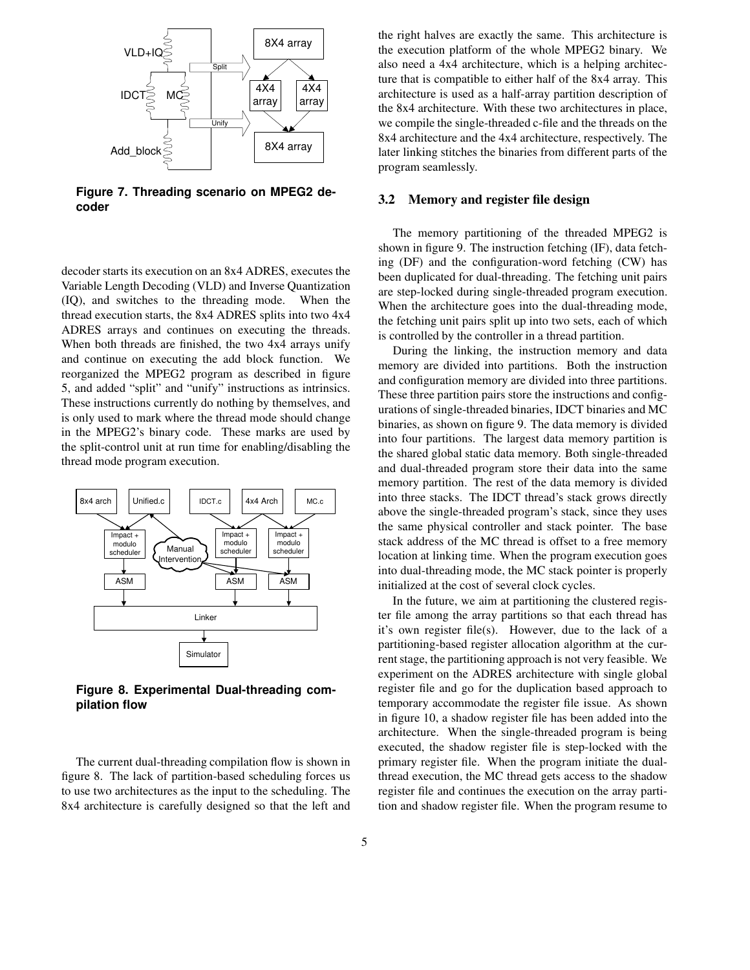

**Figure 7. Threading scenario on MPEG2 decoder**

decoder starts its execution on an 8x4 ADRES, executes the Variable Length Decoding (VLD) and Inverse Quantization (IQ), and switches to the threading mode. When the thread execution starts, the 8x4 ADRES splits into two 4x4 ADRES arrays and continues on executing the threads. When both threads are finished, the two 4x4 arrays unify and continue on executing the add block function. We reorganized the MPEG2 program as described in figure 5, and added "split" and "unify" instructions as intrinsics. These instructions currently do nothing by themselves, and is only used to mark where the thread mode should change in the MPEG2's binary code. These marks are used by the split-control unit at run time for enabling/disabling the thread mode program execution.



**Figure 8. Experimental Dual-threading compilation flow**

The current dual-threading compilation flow is shown in figure 8. The lack of partition-based scheduling forces us to use two architectures as the input to the scheduling. The 8x4 architecture is carefully designed so that the left and

the right halves are exactly the same. This architecture is the execution platform of the whole MPEG2 binary. We also need a 4x4 architecture, which is a helping architecture that is compatible to either half of the 8x4 array. This architecture is used as a half-array partition description of the 8x4 architecture. With these two architectures in place, we compile the single-threaded c-file and the threads on the 8x4 architecture and the 4x4 architecture, respectively. The later linking stitches the binaries from different parts of the program seamlessly.

#### **3.2 Memory and register file design**

The memory partitioning of the threaded MPEG2 is shown in figure 9. The instruction fetching (IF), data fetching (DF) and the configuration-word fetching (CW) has been duplicated for dual-threading. The fetching unit pairs are step-locked during single-threaded program execution. When the architecture goes into the dual-threading mode, the fetching unit pairs split up into two sets, each of which is controlled by the controller in a thread partition.

During the linking, the instruction memory and data memory are divided into partitions. Both the instruction and configuration memory are divided into three partitions. These three partition pairs store the instructions and configurations of single-threaded binaries, IDCT binaries and MC binaries, as shown on figure 9. The data memory is divided into four partitions. The largest data memory partition is the shared global static data memory. Both single-threaded and dual-threaded program store their data into the same memory partition. The rest of the data memory is divided into three stacks. The IDCT thread's stack grows directly above the single-threaded program's stack, since they uses the same physical controller and stack pointer. The base stack address of the MC thread is offset to a free memory location at linking time. When the program execution goes into dual-threading mode, the MC stack pointer is properly initialized at the cost of several clock cycles.

In the future, we aim at partitioning the clustered register file among the array partitions so that each thread has it's own register file(s). However, due to the lack of a partitioning-based register allocation algorithm at the current stage, the partitioning approach is not very feasible. We experiment on the ADRES architecture with single global register file and go for the duplication based approach to temporary accommodate the register file issue. As shown in figure 10, a shadow register file has been added into the architecture. When the single-threaded program is being executed, the shadow register file is step-locked with the primary register file. When the program initiate the dualthread execution, the MC thread gets access to the shadow register file and continues the execution on the array partition and shadow register file. When the program resume to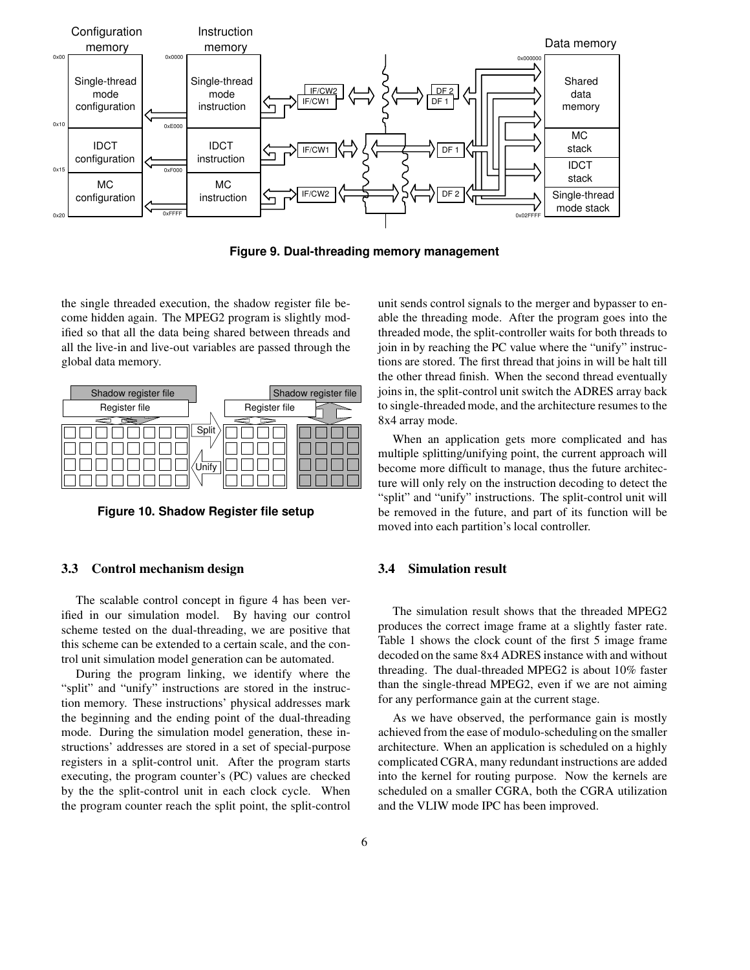

**Figure 9. Dual-threading memory management**

the single threaded execution, the shadow register file become hidden again. The MPEG2 program is slightly modified so that all the data being shared between threads and all the live-in and live-out variables are passed through the global data memory.



**Figure 10. Shadow Register file setup**

#### **3.3 Control mechanism design**

The scalable control concept in figure 4 has been verified in our simulation model. By having our control scheme tested on the dual-threading, we are positive that this scheme can be extended to a certain scale, and the control unit simulation model generation can be automated.

During the program linking, we identify where the "split" and "unify" instructions are stored in the instruction memory. These instructions' physical addresses mark the beginning and the ending point of the dual-threading mode. During the simulation model generation, these instructions' addresses are stored in a set of special-purpose registers in a split-control unit. After the program starts executing, the program counter's (PC) values are checked by the the split-control unit in each clock cycle. When the program counter reach the split point, the split-control unit sends control signals to the merger and bypasser to enable the threading mode. After the program goes into the threaded mode, the split-controller waits for both threads to join in by reaching the PC value where the "unify" instructions are stored. The first thread that joins in will be halt till the other thread finish. When the second thread eventually joins in, the split-control unit switch the ADRES array back to single-threaded mode, and the architecture resumes to the 8x4 array mode.

When an application gets more complicated and has multiple splitting/unifying point, the current approach will become more difficult to manage, thus the future architecture will only rely on the instruction decoding to detect the "split" and "unify" instructions. The split-control unit will be removed in the future, and part of its function will be moved into each partition's local controller.

#### **3.4 Simulation result**

The simulation result shows that the threaded MPEG2 produces the correct image frame at a slightly faster rate. Table 1 shows the clock count of the first 5 image frame decoded on the same 8x4 ADRES instance with and without threading. The dual-threaded MPEG2 is about 10% faster than the single-thread MPEG2, even if we are not aiming for any performance gain at the current stage.

As we have observed, the performance gain is mostly achieved from the ease of modulo-scheduling on the smaller architecture. When an application is scheduled on a highly complicated CGRA, many redundant instructions are added into the kernel for routing purpose. Now the kernels are scheduled on a smaller CGRA, both the CGRA utilization and the VLIW mode IPC has been improved.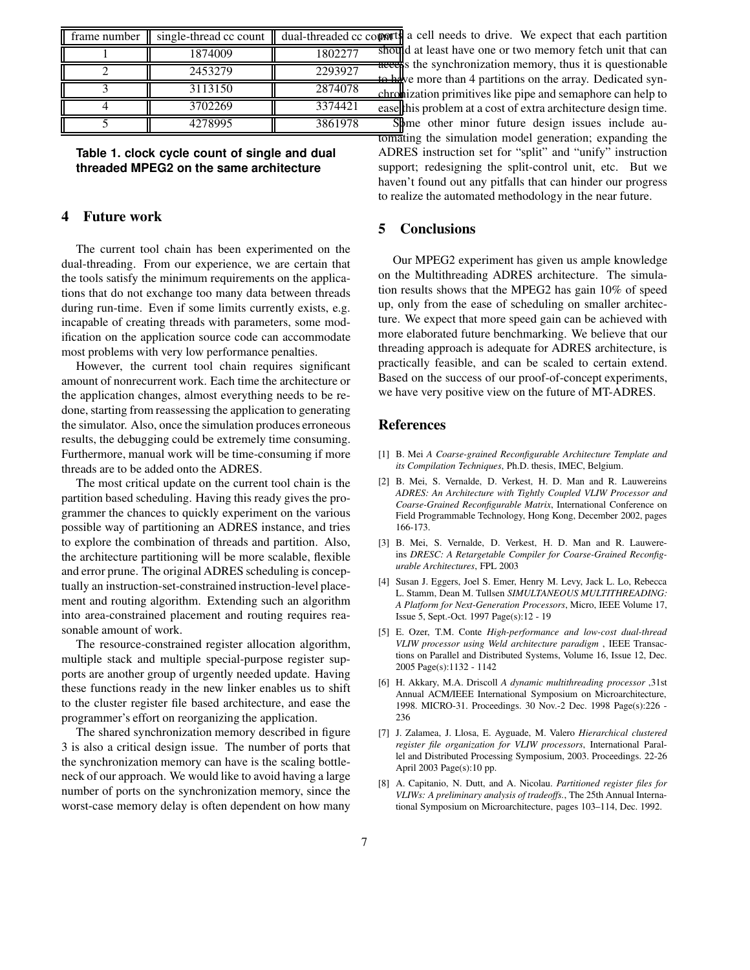| frame number | single-thread cc count | dual-threaded cc copper |
|--------------|------------------------|-------------------------|
|              | 1874009                | shc<br>1802277          |
|              | 2453279                | acc<br>2293927<br>to l  |
|              | 3113150                | 2874078<br>chr          |
|              | 3702269                | 3374421<br>eas          |
|              | 4278995                | 3861978                 |

**Table 1. clock cycle count of single and dual threaded MPEG2 on the same architecture**

### **4 Future work**

The current tool chain has been experimented on the dual-threading. From our experience, we are certain that the tools satisfy the minimum requirements on the applications that do not exchange too many data between threads during run-time. Even if some limits currently exists, e.g. incapable of creating threads with parameters, some modification on the application source code can accommodate most problems with very low performance penalties.

However, the current tool chain requires significant amount of nonrecurrent work. Each time the architecture or the application changes, almost everything needs to be redone, starting from reassessing the application to generating the simulator. Also, once the simulation produces erroneous results, the debugging could be extremely time consuming. Furthermore, manual work will be time-consuming if more threads are to be added onto the ADRES.

The most critical update on the current tool chain is the partition based scheduling. Having this ready gives the programmer the chances to quickly experiment on the various possible way of partitioning an ADRES instance, and tries to explore the combination of threads and partition. Also, the architecture partitioning will be more scalable, flexible and error prune. The original ADRES scheduling is conceptually an instruction-set-constrained instruction-level placement and routing algorithm. Extending such an algorithm into area-constrained placement and routing requires reasonable amount of work.

The resource-constrained register allocation algorithm, multiple stack and multiple special-purpose register supports are another group of urgently needed update. Having these functions ready in the new linker enables us to shift to the cluster register file based architecture, and ease the programmer's effort on reorganizing the application.

The shared synchronization memory described in figure 3 is also a critical design issue. The number of ports that the synchronization memory can have is the scaling bottleneck of our approach. We would like to avoid having a large number of ports on the synchronization memory, since the worst-case memory delay is often dependent on how many

rts a cell needs to drive. We expect that each partition ind at least have one or two memory fetch unit that can **EXTE** is the synchronization memory, thus it is questionable the more than 4 partitions on the array. Dedicated syn**ch**ization primitives like pipe and semaphore can help to e this problem at a cost of extra architecture design time.

 $\overline{\text{S}}$ me other minor future design issues include automating the simulation model generation; expanding the ADRES instruction set for "split" and "unify" instruction support; redesigning the split-control unit, etc. But we haven't found out any pitfalls that can hinder our progress to realize the automated methodology in the near future.

## **5 Conclusions**

Our MPEG2 experiment has given us ample knowledge on the Multithreading ADRES architecture. The simulation results shows that the MPEG2 has gain 10% of speed up, only from the ease of scheduling on smaller architecture. We expect that more speed gain can be achieved with more elaborated future benchmarking. We believe that our threading approach is adequate for ADRES architecture, is practically feasible, and can be scaled to certain extend. Based on the success of our proof-of-concept experiments, we have very positive view on the future of MT-ADRES.

## **References**

- [1] B. Mei *A Coarse-grained Reconfigurable Architecture Template and its Compilation Techniques*, Ph.D. thesis, IMEC, Belgium.
- [2] B. Mei, S. Vernalde, D. Verkest, H. D. Man and R. Lauwereins *ADRES: An Architecture with Tightly Coupled VLIW Processor and Coarse-Grained Reconfigurable Matrix*, International Conference on Field Programmable Technology, Hong Kong, December 2002, pages 166-173.
- [3] B. Mei, S. Vernalde, D. Verkest, H. D. Man and R. Lauwereins *DRESC: A Retargetable Compiler for Coarse-Grained Reconfigurable Architectures*, FPL 2003
- [4] Susan J. Eggers, Joel S. Emer, Henry M. Levy, Jack L. Lo, Rebecca L. Stamm, Dean M. Tullsen *SIMULTANEOUS MULTITHREADING: A Platform for Next-Generation Processors*, Micro, IEEE Volume 17, Issue 5, Sept.-Oct. 1997 Page(s):12 - 19
- [5] E. Ozer, T.M. Conte *High-performance and low-cost dual-thread VLIW processor using Weld architecture paradigm* , IEEE Transactions on Parallel and Distributed Systems, Volume 16, Issue 12, Dec. 2005 Page(s):1132 - 1142
- [6] H. Akkary, M.A. Driscoll *A dynamic multithreading processor* ,31st Annual ACM/IEEE International Symposium on Microarchitecture, 1998. MICRO-31. Proceedings. 30 Nov.-2 Dec. 1998 Page(s):226 - 236
- [7] J. Zalamea, J. Llosa, E. Ayguade, M. Valero *Hierarchical clustered register file organization for VLIW processors*, International Parallel and Distributed Processing Symposium, 2003. Proceedings. 22-26 April 2003 Page(s):10 pp.
- [8] A. Capitanio, N. Dutt, and A. Nicolau. *Partitioned register files for VLIWs: A preliminary analysis of tradeoffs.*, The 25th Annual International Symposium on Microarchitecture, pages 103–114, Dec. 1992.